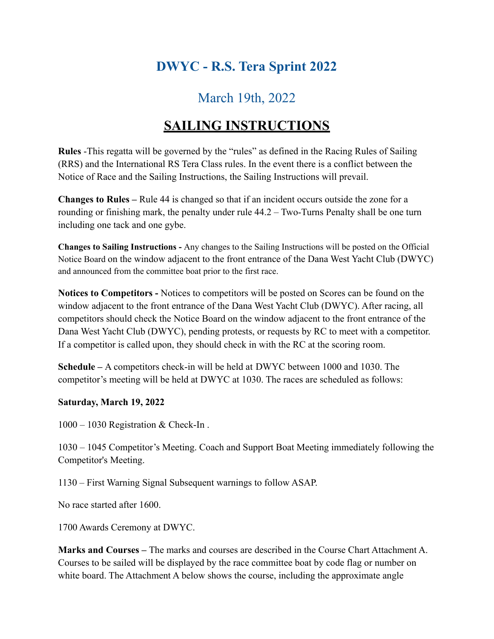## **DWYC - R.S. Tera Sprint 2022**

## March 19th, 2022

## **SAILING INSTRUCTIONS**

**Rules** -This regatta will be governed by the "rules" as defined in the Racing Rules of Sailing (RRS) and the International RS Tera Class rules. In the event there is a conflict between the Notice of Race and the Sailing Instructions, the Sailing Instructions will prevail.

**Changes to Rules –** Rule 44 is changed so that if an incident occurs outside the zone for a rounding or finishing mark, the penalty under rule 44.2 – Two-Turns Penalty shall be one turn including one tack and one gybe.

**Changes to Sailing Instructions -** Any changes to the Sailing Instructions will be posted on the Official Notice Board on the window adjacent to the front entrance of the Dana West Yacht Club (DWYC) and announced from the committee boat prior to the first race.

**Notices to Competitors -** Notices to competitors will be posted on Scores can be found on the window adjacent to the front entrance of the Dana West Yacht Club (DWYC). After racing, all competitors should check the Notice Board on the window adjacent to the front entrance of the Dana West Yacht Club (DWYC), pending protests, or requests by RC to meet with a competitor. If a competitor is called upon, they should check in with the RC at the scoring room.

**Schedule –** A competitors check-in will be held at DWYC between 1000 and 1030. The competitor's meeting will be held at DWYC at 1030. The races are scheduled as follows:

#### **Saturday, March 19, 2022**

1000 – 1030 Registration & Check-In .

1030 – 1045 Competitor's Meeting. Coach and Support Boat Meeting immediately following the Competitor's Meeting.

1130 – First Warning Signal Subsequent warnings to follow ASAP.

No race started after 1600.

1700 Awards Ceremony at DWYC.

**Marks and Courses –** The marks and courses are described in the Course Chart Attachment A. Courses to be sailed will be displayed by the race committee boat by code flag or number on white board. The Attachment A below shows the course, including the approximate angle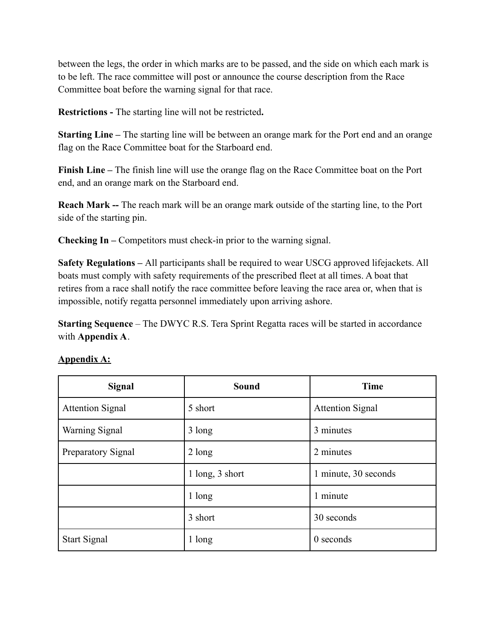between the legs, the order in which marks are to be passed, and the side on which each mark is to be left. The race committee will post or announce the course description from the Race Committee boat before the warning signal for that race.

**Restrictions -** The starting line will not be restricted**.**

**Starting Line –** The starting line will be between an orange mark for the Port end and an orange flag on the Race Committee boat for the Starboard end.

**Finish Line –** The finish line will use the orange flag on the Race Committee boat on the Port end, and an orange mark on the Starboard end.

**Reach Mark --** The reach mark will be an orange mark outside of the starting line, to the Port side of the starting pin.

**Checking In –** Competitors must check-in prior to the warning signal.

**Safety Regulations –** All participants shall be required to wear USCG approved lifejackets. All boats must comply with safety requirements of the prescribed fleet at all times. A boat that retires from a race shall notify the race committee before leaving the race area or, when that is impossible, notify regatta personnel immediately upon arriving ashore.

**Starting Sequence** – The DWYC R.S. Tera Sprint Regatta races will be started in accordance with **Appendix A**.

| Signal                  | <b>Sound</b>     | <b>Time</b>             |
|-------------------------|------------------|-------------------------|
| <b>Attention Signal</b> | 5 short          | <b>Attention Signal</b> |
| <b>Warning Signal</b>   | 3 long           | 3 minutes               |
| Preparatory Signal      | $2 \text{ long}$ | 2 minutes               |
|                         | 1 long, 3 short  | 1 minute, 30 seconds    |
|                         | 1 long           | 1 minute                |
|                         | 3 short          | 30 seconds              |
| <b>Start Signal</b>     | 1 long           | $0$ seconds             |

### **Appendix A:**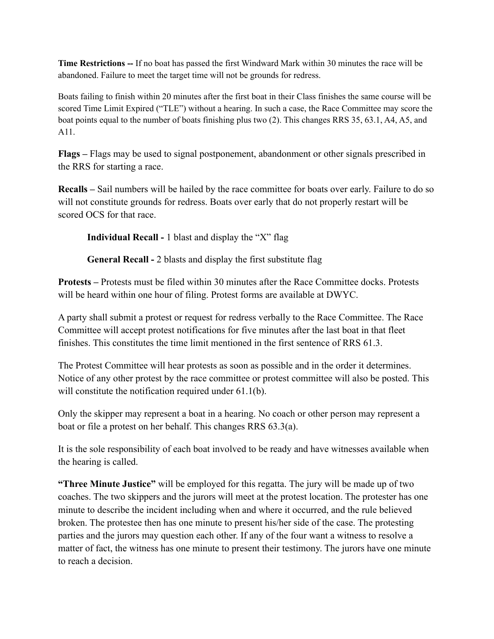**Time Restrictions --** If no boat has passed the first Windward Mark within 30 minutes the race will be abandoned. Failure to meet the target time will not be grounds for redress.

Boats failing to finish within 20 minutes after the first boat in their Class finishes the same course will be scored Time Limit Expired ("TLE") without a hearing. In such a case, the Race Committee may score the boat points equal to the number of boats finishing plus two (2). This changes RRS 35, 63.1, A4, A5, and A11.

**Flags –** Flags may be used to signal postponement, abandonment or other signals prescribed in the RRS for starting a race.

**Recalls –** Sail numbers will be hailed by the race committee for boats over early. Failure to do so will not constitute grounds for redress. Boats over early that do not properly restart will be scored OCS for that race

**Individual Recall -** 1 blast and display the "X" flag

**General Recall -** 2 blasts and display the first substitute flag

**Protests –** Protests must be filed within 30 minutes after the Race Committee docks. Protests will be heard within one hour of filing. Protest forms are available at DWYC.

A party shall submit a protest or request for redress verbally to the Race Committee. The Race Committee will accept protest notifications for five minutes after the last boat in that fleet finishes. This constitutes the time limit mentioned in the first sentence of RRS 61.3.

The Protest Committee will hear protests as soon as possible and in the order it determines. Notice of any other protest by the race committee or protest committee will also be posted. This will constitute the notification required under 61.1(b).

Only the skipper may represent a boat in a hearing. No coach or other person may represent a boat or file a protest on her behalf. This changes RRS 63.3(a).

It is the sole responsibility of each boat involved to be ready and have witnesses available when the hearing is called.

**"Three Minute Justice"** will be employed for this regatta. The jury will be made up of two coaches. The two skippers and the jurors will meet at the protest location. The protester has one minute to describe the incident including when and where it occurred, and the rule believed broken. The protestee then has one minute to present his/her side of the case. The protesting parties and the jurors may question each other. If any of the four want a witness to resolve a matter of fact, the witness has one minute to present their testimony. The jurors have one minute to reach a decision.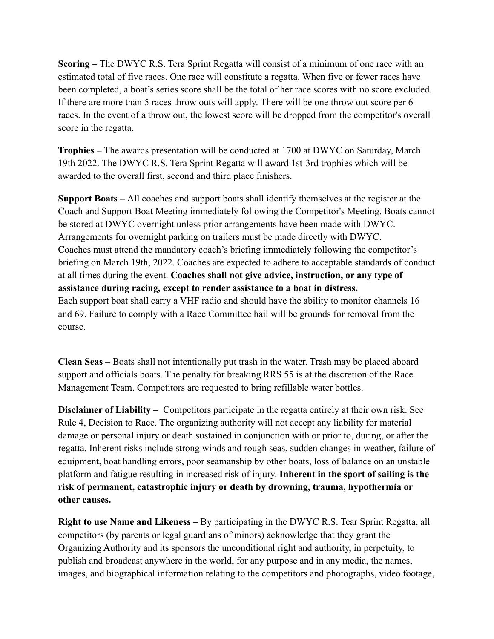**Scoring –** The DWYC R.S. Tera Sprint Regatta will consist of a minimum of one race with an estimated total of five races. One race will constitute a regatta. When five or fewer races have been completed, a boat's series score shall be the total of her race scores with no score excluded. If there are more than 5 races throw outs will apply. There will be one throw out score per 6 races. In the event of a throw out, the lowest score will be dropped from the competitor's overall score in the regatta.

**Trophies –** The awards presentation will be conducted at 1700 at DWYC on Saturday, March 19th 2022. The DWYC R.S. Tera Sprint Regatta will award 1st-3rd trophies which will be awarded to the overall first, second and third place finishers.

**Support Boats –** All coaches and support boats shall identify themselves at the register at the Coach and Support Boat Meeting immediately following the Competitor's Meeting. Boats cannot be stored at DWYC overnight unless prior arrangements have been made with DWYC. Arrangements for overnight parking on trailers must be made directly with DWYC. Coaches must attend the mandatory coach's briefing immediately following the competitor's briefing on March 19th, 2022. Coaches are expected to adhere to acceptable standards of conduct at all times during the event. **Coaches shall not give advice, instruction, or any type of assistance during racing, except to render assistance to a boat in distress.** Each support boat shall carry a VHF radio and should have the ability to monitor channels 16 and 69. Failure to comply with a Race Committee hail will be grounds for removal from the course.

**Clean Seas** – Boats shall not intentionally put trash in the water. Trash may be placed aboard support and officials boats. The penalty for breaking RRS 55 is at the discretion of the Race Management Team. Competitors are requested to bring refillable water bottles.

**Disclaimer of Liability –** Competitors participate in the regatta entirely at their own risk. See Rule 4, Decision to Race. The organizing authority will not accept any liability for material damage or personal injury or death sustained in conjunction with or prior to, during, or after the regatta. Inherent risks include strong winds and rough seas, sudden changes in weather, failure of equipment, boat handling errors, poor seamanship by other boats, loss of balance on an unstable platform and fatigue resulting in increased risk of injury. **Inherent in the sport of sailing is the risk of permanent, catastrophic injury or death by drowning, trauma, hypothermia or other causes.**

**Right to use Name and Likeness –** By participating in the DWYC R.S. Tear Sprint Regatta, all competitors (by parents or legal guardians of minors) acknowledge that they grant the Organizing Authority and its sponsors the unconditional right and authority, in perpetuity, to publish and broadcast anywhere in the world, for any purpose and in any media, the names, images, and biographical information relating to the competitors and photographs, video footage,